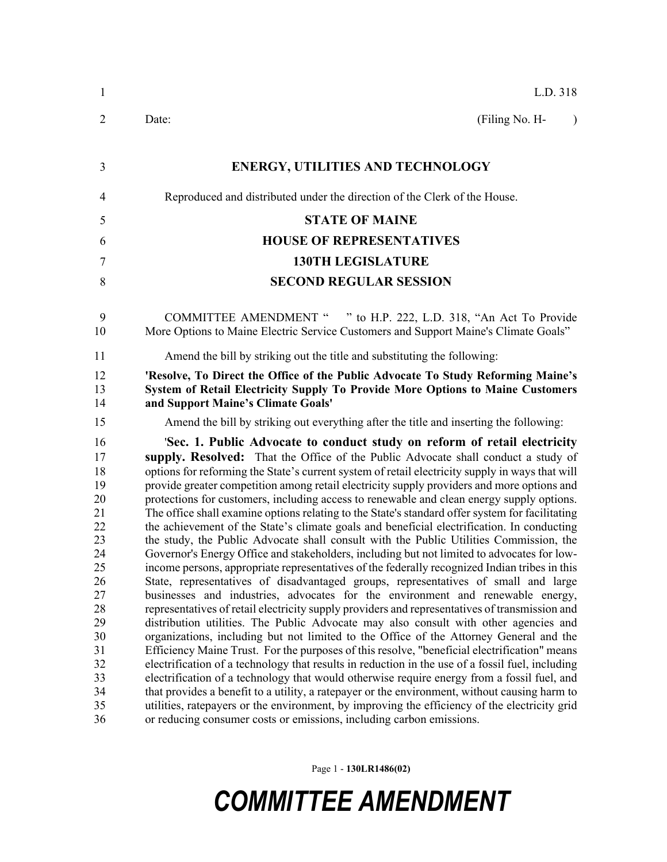| $\mathbf{1}$                                                                                                               | L.D. 318                                                                                                                                                                                                                                                                                                                                                                                                                                                                                                                                                                                                                                                                                                                                                                                                                                                                                                                                                                                                                                                                                                                                                                                                                                                                                                                                                                                                                                                                                                                                                                                                                                                                                                                                                                                                                                                                                                                                                                                        |  |  |
|----------------------------------------------------------------------------------------------------------------------------|-------------------------------------------------------------------------------------------------------------------------------------------------------------------------------------------------------------------------------------------------------------------------------------------------------------------------------------------------------------------------------------------------------------------------------------------------------------------------------------------------------------------------------------------------------------------------------------------------------------------------------------------------------------------------------------------------------------------------------------------------------------------------------------------------------------------------------------------------------------------------------------------------------------------------------------------------------------------------------------------------------------------------------------------------------------------------------------------------------------------------------------------------------------------------------------------------------------------------------------------------------------------------------------------------------------------------------------------------------------------------------------------------------------------------------------------------------------------------------------------------------------------------------------------------------------------------------------------------------------------------------------------------------------------------------------------------------------------------------------------------------------------------------------------------------------------------------------------------------------------------------------------------------------------------------------------------------------------------------------------------|--|--|
| $\overline{2}$                                                                                                             | (Filing No. H-<br>Date:<br>$\lambda$                                                                                                                                                                                                                                                                                                                                                                                                                                                                                                                                                                                                                                                                                                                                                                                                                                                                                                                                                                                                                                                                                                                                                                                                                                                                                                                                                                                                                                                                                                                                                                                                                                                                                                                                                                                                                                                                                                                                                            |  |  |
| 3                                                                                                                          | <b>ENERGY, UTILITIES AND TECHNOLOGY</b>                                                                                                                                                                                                                                                                                                                                                                                                                                                                                                                                                                                                                                                                                                                                                                                                                                                                                                                                                                                                                                                                                                                                                                                                                                                                                                                                                                                                                                                                                                                                                                                                                                                                                                                                                                                                                                                                                                                                                         |  |  |
| $\overline{4}$                                                                                                             | Reproduced and distributed under the direction of the Clerk of the House.                                                                                                                                                                                                                                                                                                                                                                                                                                                                                                                                                                                                                                                                                                                                                                                                                                                                                                                                                                                                                                                                                                                                                                                                                                                                                                                                                                                                                                                                                                                                                                                                                                                                                                                                                                                                                                                                                                                       |  |  |
| 5                                                                                                                          | <b>STATE OF MAINE</b>                                                                                                                                                                                                                                                                                                                                                                                                                                                                                                                                                                                                                                                                                                                                                                                                                                                                                                                                                                                                                                                                                                                                                                                                                                                                                                                                                                                                                                                                                                                                                                                                                                                                                                                                                                                                                                                                                                                                                                           |  |  |
| 6                                                                                                                          | <b>HOUSE OF REPRESENTATIVES</b>                                                                                                                                                                                                                                                                                                                                                                                                                                                                                                                                                                                                                                                                                                                                                                                                                                                                                                                                                                                                                                                                                                                                                                                                                                                                                                                                                                                                                                                                                                                                                                                                                                                                                                                                                                                                                                                                                                                                                                 |  |  |
| $\overline{7}$                                                                                                             | <b>130TH LEGISLATURE</b>                                                                                                                                                                                                                                                                                                                                                                                                                                                                                                                                                                                                                                                                                                                                                                                                                                                                                                                                                                                                                                                                                                                                                                                                                                                                                                                                                                                                                                                                                                                                                                                                                                                                                                                                                                                                                                                                                                                                                                        |  |  |
| 8                                                                                                                          | <b>SECOND REGULAR SESSION</b>                                                                                                                                                                                                                                                                                                                                                                                                                                                                                                                                                                                                                                                                                                                                                                                                                                                                                                                                                                                                                                                                                                                                                                                                                                                                                                                                                                                                                                                                                                                                                                                                                                                                                                                                                                                                                                                                                                                                                                   |  |  |
| 9<br>10                                                                                                                    | COMMITTEE AMENDMENT " " to H.P. 222, L.D. 318, "An Act To Provide<br>More Options to Maine Electric Service Customers and Support Maine's Climate Goals"                                                                                                                                                                                                                                                                                                                                                                                                                                                                                                                                                                                                                                                                                                                                                                                                                                                                                                                                                                                                                                                                                                                                                                                                                                                                                                                                                                                                                                                                                                                                                                                                                                                                                                                                                                                                                                        |  |  |
| 11                                                                                                                         | Amend the bill by striking out the title and substituting the following:                                                                                                                                                                                                                                                                                                                                                                                                                                                                                                                                                                                                                                                                                                                                                                                                                                                                                                                                                                                                                                                                                                                                                                                                                                                                                                                                                                                                                                                                                                                                                                                                                                                                                                                                                                                                                                                                                                                        |  |  |
| 12<br>13<br>14                                                                                                             | 'Resolve, To Direct the Office of the Public Advocate To Study Reforming Maine's<br>System of Retail Electricity Supply To Provide More Options to Maine Customers<br>and Support Maine's Climate Goals'                                                                                                                                                                                                                                                                                                                                                                                                                                                                                                                                                                                                                                                                                                                                                                                                                                                                                                                                                                                                                                                                                                                                                                                                                                                                                                                                                                                                                                                                                                                                                                                                                                                                                                                                                                                        |  |  |
| 15                                                                                                                         | Amend the bill by striking out everything after the title and inserting the following:                                                                                                                                                                                                                                                                                                                                                                                                                                                                                                                                                                                                                                                                                                                                                                                                                                                                                                                                                                                                                                                                                                                                                                                                                                                                                                                                                                                                                                                                                                                                                                                                                                                                                                                                                                                                                                                                                                          |  |  |
| 16<br>17<br>18<br>19<br>20<br>21<br>22<br>23<br>24<br>25<br>26<br>27<br>28<br>29<br>30<br>31<br>32<br>33<br>34<br>35<br>36 | 'Sec. 1. Public Advocate to conduct study on reform of retail electricity<br>supply. Resolved: That the Office of the Public Advocate shall conduct a study of<br>options for reforming the State's current system of retail electricity supply in ways that will<br>provide greater competition among retail electricity supply providers and more options and<br>protections for customers, including access to renewable and clean energy supply options.<br>The office shall examine options relating to the State's standard offer system for facilitating<br>the achievement of the State's climate goals and beneficial electrification. In conducting<br>the study, the Public Advocate shall consult with the Public Utilities Commission, the<br>Governor's Energy Office and stakeholders, including but not limited to advocates for low-<br>income persons, appropriate representatives of the federally recognized Indian tribes in this<br>State, representatives of disadvantaged groups, representatives of small and large<br>businesses and industries, advocates for the environment and renewable energy,<br>representatives of retail electricity supply providers and representatives of transmission and<br>distribution utilities. The Public Advocate may also consult with other agencies and<br>organizations, including but not limited to the Office of the Attorney General and the<br>Efficiency Maine Trust. For the purposes of this resolve, "beneficial electrification" means<br>electrification of a technology that results in reduction in the use of a fossil fuel, including<br>electrification of a technology that would otherwise require energy from a fossil fuel, and<br>that provides a benefit to a utility, a ratepayer or the environment, without causing harm to<br>utilities, ratepayers or the environment, by improving the efficiency of the electricity grid<br>or reducing consumer costs or emissions, including carbon emissions. |  |  |

Page 1 - **130LR1486(02)**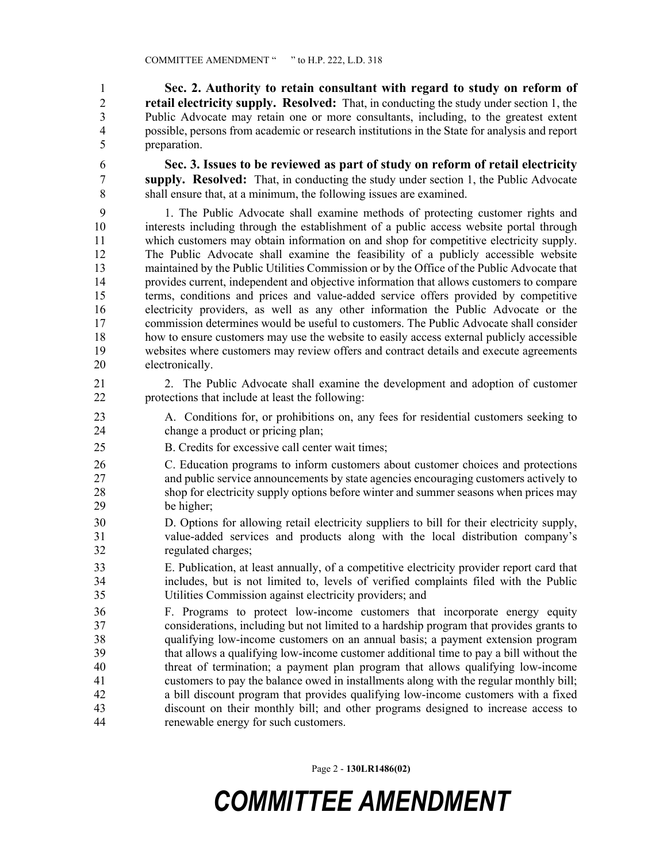1 **Sec. 2. Authority to retain consultant with regard to study on reform of**  2 **retail electricity supply. Resolved:** That, in conducting the study under section 1, the 3 Public Advocate may retain one or more consultants, including, to the greatest extent 4 possible, persons from academic or research institutions in the State for analysis and report 5 preparation.

6 **Sec. 3. Issues to be reviewed as part of study on reform of retail electricity**  7 **supply. Resolved:** That, in conducting the study under section 1, the Public Advocate 8 shall ensure that, at a minimum, the following issues are examined.

9 1. The Public Advocate shall examine methods of protecting customer rights and 10 interests including through the establishment of a public access website portal through 11 which customers may obtain information on and shop for competitive electricity supply. 12 The Public Advocate shall examine the feasibility of a publicly accessible website 13 maintained by the Public Utilities Commission or by the Office of the Public Advocate that 14 provides current, independent and objective information that allows customers to compare 15 terms, conditions and prices and value-added service offers provided by competitive 16 electricity providers, as well as any other information the Public Advocate or the 17 commission determines would be useful to customers. The Public Advocate shall consider 18 how to ensure customers may use the website to easily access external publicly accessible 19 websites where customers may review offers and contract details and execute agreements 20 electronically.

- 21 2. The Public Advocate shall examine the development and adoption of customer 22 protections that include at least the following:
- 23 A. Conditions for, or prohibitions on, any fees for residential customers seeking to 24 change a product or pricing plan;
- 25 B. Credits for excessive call center wait times;
- 26 C. Education programs to inform customers about customer choices and protections 27 and public service announcements by state agencies encouraging customers actively to 28 shop for electricity supply options before winter and summer seasons when prices may 29 be higher;
- 30 D. Options for allowing retail electricity suppliers to bill for their electricity supply, 31 value-added services and products along with the local distribution company's 32 regulated charges;
- 33 E. Publication, at least annually, of a competitive electricity provider report card that 34 includes, but is not limited to, levels of verified complaints filed with the Public 35 Utilities Commission against electricity providers; and
- 36 F. Programs to protect low-income customers that incorporate energy equity 37 considerations, including but not limited to a hardship program that provides grants to 38 qualifying low-income customers on an annual basis; a payment extension program 39 that allows a qualifying low-income customer additional time to pay a bill without the 40 threat of termination; a payment plan program that allows qualifying low-income 41 customers to pay the balance owed in installments along with the regular monthly bill; 42 a bill discount program that provides qualifying low-income customers with a fixed 43 discount on their monthly bill; and other programs designed to increase access to 44 renewable energy for such customers.

Page 2 - **130LR1486(02)**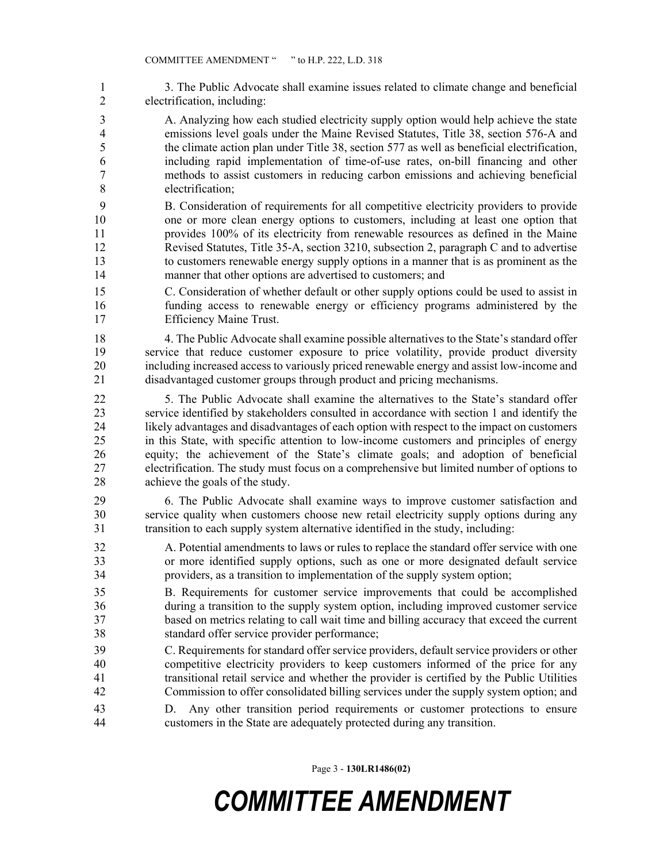1 3. The Public Advocate shall examine issues related to climate change and beneficial 2 electrification, including:

3 A. Analyzing how each studied electricity supply option would help achieve the state 4 emissions level goals under the Maine Revised Statutes, Title 38, section 576-A and 5 the climate action plan under Title 38, section 577 as well as beneficial electrification, 6 including rapid implementation of time-of-use rates, on-bill financing and other 7 methods to assist customers in reducing carbon emissions and achieving beneficial 8 electrification;

9 B. Consideration of requirements for all competitive electricity providers to provide 10 one or more clean energy options to customers, including at least one option that 11 provides 100% of its electricity from renewable resources as defined in the Maine 12 Revised Statutes, Title 35-A, section 3210, subsection 2, paragraph C and to advertise 13 to customers renewable energy supply options in a manner that is as prominent as the 14 manner that other options are advertised to customers; and

15 C. Consideration of whether default or other supply options could be used to assist in 16 funding access to renewable energy or efficiency programs administered by the 17 Efficiency Maine Trust.

18 4. The Public Advocate shall examine possible alternatives to the State's standard offer 19 service that reduce customer exposure to price volatility, provide product diversity 20 including increased access to variously priced renewable energy and assist low-income and 21 disadvantaged customer groups through product and pricing mechanisms.

22 5. The Public Advocate shall examine the alternatives to the State's standard offer 23 service identified by stakeholders consulted in accordance with section 1 and identify the 24 likely advantages and disadvantages of each option with respect to the impact on customers 25 in this State, with specific attention to low-income customers and principles of energy 26 equity; the achievement of the State's climate goals; and adoption of beneficial 27 electrification. The study must focus on a comprehensive but limited number of options to 28 achieve the goals of the study.

29 6. The Public Advocate shall examine ways to improve customer satisfaction and 30 service quality when customers choose new retail electricity supply options during any 31 transition to each supply system alternative identified in the study, including:

32 A. Potential amendments to laws or rules to replace the standard offer service with one 33 or more identified supply options, such as one or more designated default service 34 providers, as a transition to implementation of the supply system option;

- 35 B. Requirements for customer service improvements that could be accomplished 36 during a transition to the supply system option, including improved customer service 37 based on metrics relating to call wait time and billing accuracy that exceed the current 38 standard offer service provider performance;
- 39 C. Requirements for standard offer service providers, default service providers or other 40 competitive electricity providers to keep customers informed of the price for any 41 transitional retail service and whether the provider is certified by the Public Utilities 42 Commission to offer consolidated billing services under the supply system option; and
- 43 D. Any other transition period requirements or customer protections to ensure 44 customers in the State are adequately protected during any transition.

Page 3 - **130LR1486(02)**